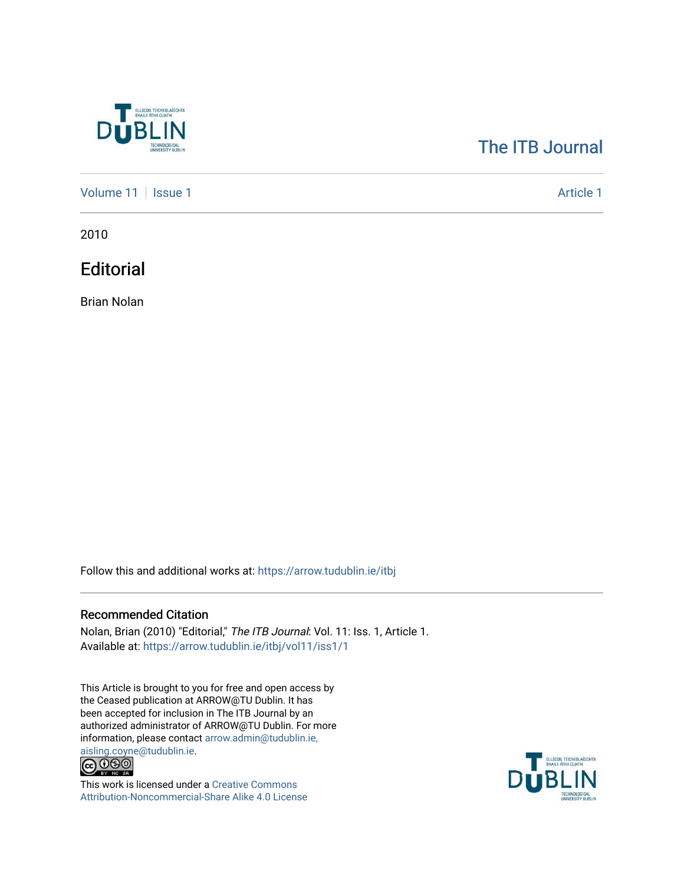

## [The ITB Journal](https://arrow.tudublin.ie/itbj)

[Volume 11](https://arrow.tudublin.ie/itbj/vol11) | [Issue 1](https://arrow.tudublin.ie/itbj/vol11/iss1) Article 1

2010

**Editorial** 

Brian Nolan

Follow this and additional works at: [https://arrow.tudublin.ie/itbj](https://arrow.tudublin.ie/itbj?utm_source=arrow.tudublin.ie%2Fitbj%2Fvol11%2Fiss1%2F1&utm_medium=PDF&utm_campaign=PDFCoverPages) 

## Recommended Citation

Nolan, Brian (2010) "Editorial," The ITB Journal: Vol. 11: Iss. 1, Article 1. Available at: [https://arrow.tudublin.ie/itbj/vol11/iss1/1](https://arrow.tudublin.ie/itbj/vol11/iss1/1?utm_source=arrow.tudublin.ie%2Fitbj%2Fvol11%2Fiss1%2F1&utm_medium=PDF&utm_campaign=PDFCoverPages)

This Article is brought to you for free and open access by the Ceased publication at ARROW@TU Dublin. It has been accepted for inclusion in The ITB Journal by an authorized administrator of ARROW@TU Dublin. For more information, please contact [arrow.admin@tudublin.ie,](mailto:arrow.admin@tudublin.ie,%20aisling.coyne@tudublin.ie) 



This work is licensed under a [Creative Commons](http://creativecommons.org/licenses/by-nc-sa/4.0/) [Attribution-Noncommercial-Share Alike 4.0 License](http://creativecommons.org/licenses/by-nc-sa/4.0/)

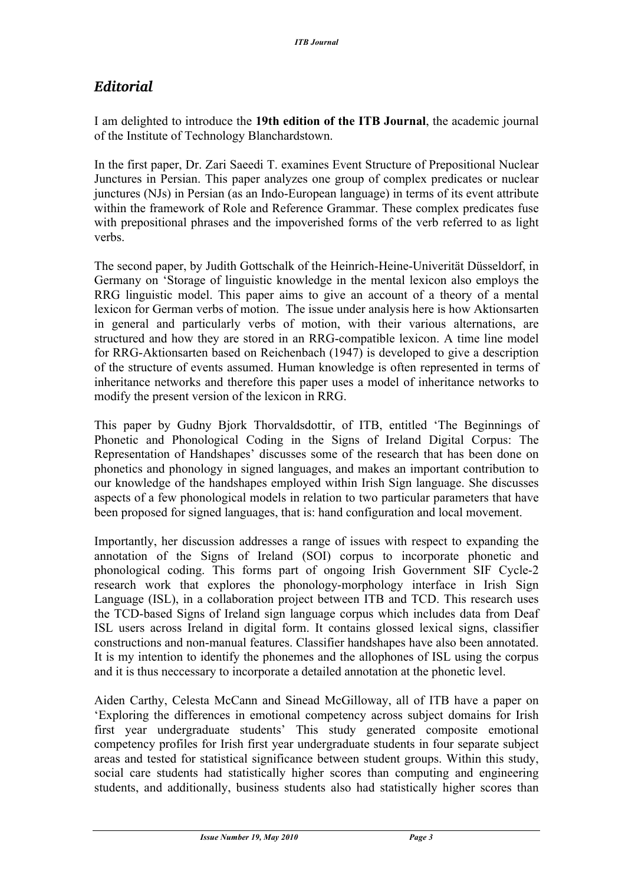## *Editorial*

I am delighted to introduce the **19th edition of the ITB Journal**, the academic journal of the Institute of Technology Blanchardstown.

In the first paper, Dr. Zari Saeedi T. examines Event Structure of Prepositional Nuclear Junctures in Persian. This paper analyzes one group of complex predicates or nuclear junctures (NJs) in Persian (as an Indo-European language) in terms of its event attribute within the framework of Role and Reference Grammar. These complex predicates fuse with prepositional phrases and the impoverished forms of the verb referred to as light verbs.

The second paper, by Judith Gottschalk of the Heinrich-Heine-Univerität Düsseldorf, in Germany on 'Storage of linguistic knowledge in the mental lexicon also employs the RRG linguistic model. This paper aims to give an account of a theory of a mental lexicon for German verbs of motion. The issue under analysis here is how Aktionsarten in general and particularly verbs of motion, with their various alternations, are structured and how they are stored in an RRG-compatible lexicon. A time line model for RRG-Aktionsarten based on Reichenbach (1947) is developed to give a description of the structure of events assumed. Human knowledge is often represented in terms of inheritance networks and therefore this paper uses a model of inheritance networks to modify the present version of the lexicon in RRG.

This paper by Gudny Bjork Thorvaldsdottir, of ITB, entitled 'The Beginnings of Phonetic and Phonological Coding in the Signs of Ireland Digital Corpus: The Representation of Handshapes' discusses some of the research that has been done on phonetics and phonology in signed languages, and makes an important contribution to our knowledge of the handshapes employed within Irish Sign language. She discusses aspects of a few phonological models in relation to two particular parameters that have been proposed for signed languages, that is: hand configuration and local movement.

Importantly, her discussion addresses a range of issues with respect to expanding the annotation of the Signs of Ireland (SOI) corpus to incorporate phonetic and phonological coding. This forms part of ongoing Irish Government SIF Cycle-2 research work that explores the phonology-morphology interface in Irish Sign Language (ISL), in a collaboration project between ITB and TCD. This research uses the TCD-based Signs of Ireland sign language corpus which includes data from Deaf ISL users across Ireland in digital form. It contains glossed lexical signs, classifier constructions and non-manual features. Classifier handshapes have also been annotated. It is my intention to identify the phonemes and the allophones of ISL using the corpus and it is thus neccessary to incorporate a detailed annotation at the phonetic level.

Aiden Carthy, Celesta McCann and Sinead McGilloway, all of ITB have a paper on 'Exploring the differences in emotional competency across subject domains for Irish first year undergraduate students' This study generated composite emotional competency profiles for Irish first year undergraduate students in four separate subject areas and tested for statistical significance between student groups. Within this study, social care students had statistically higher scores than computing and engineering students, and additionally, business students also had statistically higher scores than